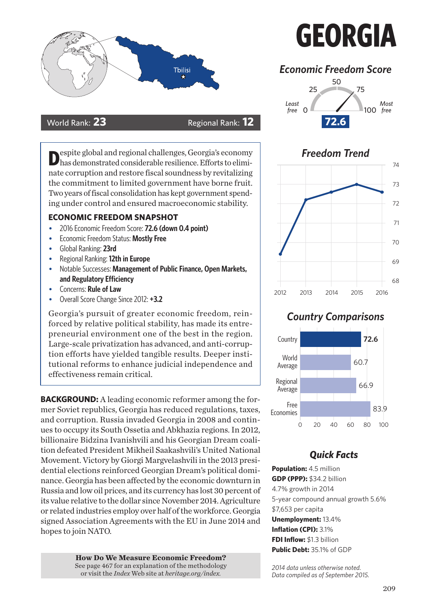



espite global and regional challenges, Georgia's economy has demonstrated considerable resilience. Efforts to eliminate corruption and restore fiscal soundness by revitalizing the commitment to limited government have borne fruit. Two years of fiscal consolidation has kept government spending under control and ensured macroeconomic stability.

#### **ECONOMIC FREEDOM SNAPSHOT**

- 2016 Economic Freedom Score: **72.6 (down 0.4 point)**
- Economic Freedom Status: **Mostly Free**
- Global Ranking: **23rd**
- Regional Ranking: **12th in Europe**
- Notable Successes: **Management of Public Finance, Open Markets, and Regulatory Efficiency**
- Concerns: **Rule of Law**
- Overall Score Change Since 2012: **+3.2**

Georgia's pursuit of greater economic freedom, reinforced by relative political stability, has made its entrepreneurial environment one of the best in the region. Large-scale privatization has advanced, and anti-corruption efforts have yielded tangible results. Deeper institutional reforms to enhance judicial independence and effectiveness remain critical.

**BACKGROUND:** A leading economic reformer among the former Soviet republics, Georgia has reduced regulations, taxes, and corruption. Russia invaded Georgia in 2008 and continues to occupy its South Ossetia and Abkhazia regions. In 2012, billionaire Bidzina Ivanishvili and his Georgian Dream coalition defeated President Mikheil Saakashvili's United National Movement. Victory by Giorgi Margvelashvili in the 2013 presidential elections reinforced Georgian Dream's political dominance. Georgia has been affected by the economic downturn in Russia and low oil prices, and its currency has lost 30 percent of its value relative to the dollar since November 2014. Agriculture or related industries employ over half of the workforce. Georgia signed Association Agreements with the EU in June 2014 and hopes to join NATO.

> **How Do We Measure Economic Freedom?**<br>See page 467 for an explanation of the methodology or visit the *Index* Web site at *heritage.org/index.*

# **GEORGIA**

# *Economic Freedom Score*





### *Country Comparisons*



## *Quick Facts*

**Population:** 4.5 million **GDP (PPP):** \$34.2 billion 4.7% growth in 2014 5-year compound annual growth 5.6% \$7,653 per capita **Unemployment:** 13.4% **Inflation (CPI):** 3.1% **FDI Inflow:** \$1.3 billion **Public Debt:** 35.1% of GDP

*2014 data unless otherwise noted. Data compiled as of September 2015.*